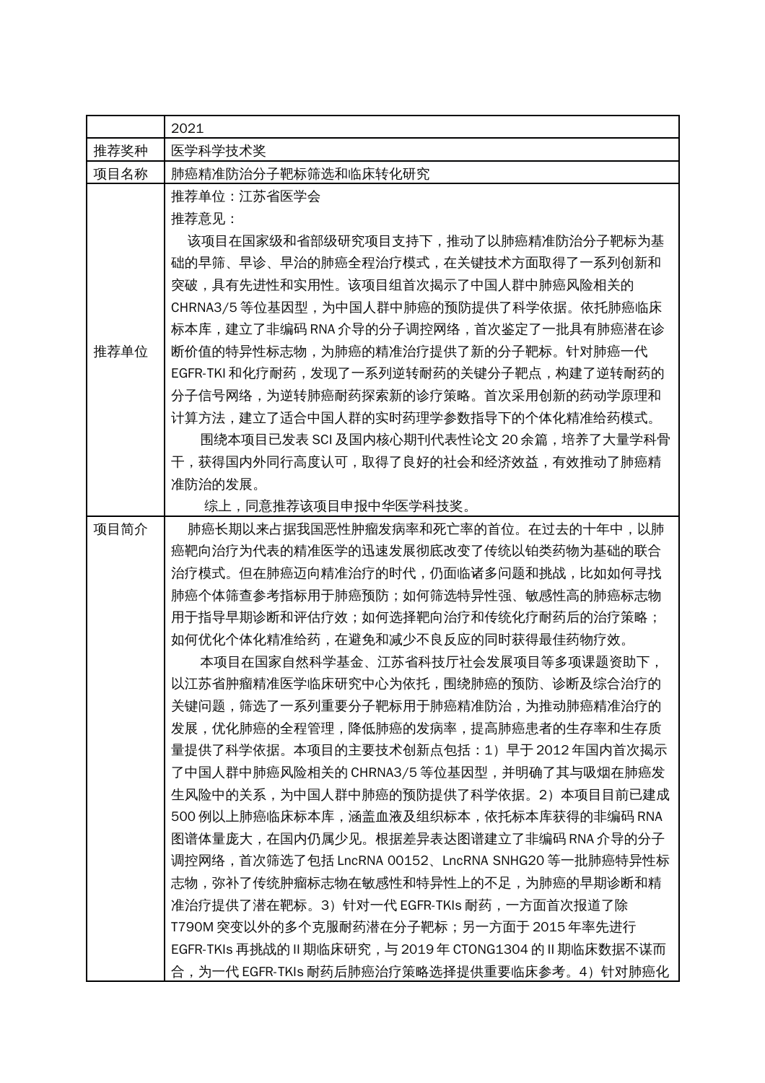|      | 2021                                                                                |
|------|-------------------------------------------------------------------------------------|
| 推荐奖种 | 医学科学技术奖                                                                             |
| 项目名称 | 肺癌精准防治分子靶标筛选和临床转化研究                                                                 |
|      | 推荐单位:江苏省医学会<br>推荐意见:                                                                |
|      | 该项目在国家级和省部级研究项目支持下,推动了以肺癌精准防治分子靶标为基                                                 |
|      | 础的早筛、早诊、早治的肺癌全程治疗模式,在关键技术方面取得了一系列创新和                                                |
|      | 突破,具有先进性和实用性。该项目组首次揭示了中国人群中肺癌风险相关的                                                  |
|      | CHRNA3/5 等位基因型, 为中国人群中肺癌的预防提供了科学依据。依托肺癌临床                                           |
|      | 标本库,建立了非编码 RNA 介导的分子调控网络,首次鉴定了一批具有肺癌潜在诊                                             |
| 推荐单位 | 断价值的特异性标志物,为肺癌的精准治疗提供了新的分子靶标。针对肺癌一代                                                 |
|      | EGFR-TKI 和化疗耐药,发现了一系列逆转耐药的关键分子靶点,构建了逆转耐药的<br>分子信号网络,为逆转肺癌耐药探索新的诊疗策略。首次采用创新的药动学原理和   |
|      | 计算方法,建立了适合中国人群的实时药理学参数指导下的个体化精准给药模式。                                                |
|      | 围绕本项目已发表 SCI 及国内核心期刊代表性论文 20 余篇,培养了大量学科骨                                            |
|      | 于,获得国内外同行高度认可,取得了良好的社会和经济效益,有效推动了肺癌精                                                |
|      | 准防治的发展。                                                                             |
|      | 综上,同意推荐该项目申报中华医学科技奖。                                                                |
| 项目简介 | 肺癌长期以来占据我国恶性肿瘤发病率和死亡率的首位。在过去的十年中,以肺                                                 |
|      | 癌靶向治疗为代表的精准医学的迅速发展彻底改变了传统以铂类药物为基础的联合                                                |
|      | 治疗模式。但在肺癌迈向精准治疗的时代,仍面临诸多问题和挑战,比如如何寻找                                                |
|      | 肺癌个体筛查参考指标用于肺癌预防;如何筛选特异性强、敏感性高的肺癌标志物                                                |
|      | 用于指导早期诊断和评估疗效;如何选择靶向治疗和传统化疗耐药后的治疗策略;                                                |
|      | 如何优化个体化精准给药,在避免和减少不良反应的同时获得最佳药物疗效。                                                  |
|      | 本项目在国家自然科学基金、江苏省科技厅社会发展项目等多项课题资助下,                                                  |
|      | 以江苏省肿瘤精准医学临床研究中心为依托,围绕肺癌的预防、诊断及综合治疗的                                                |
|      | 关键问题,筛选了一系列重要分子靶标用于肺癌精准防治,为推动肺癌精准治疗的                                                |
|      | 发展,优化肺癌的全程管理,降低肺癌的发病率,提高肺癌患者的生存率和生存质                                                |
|      | 量提供了科学依据。本项目的主要技术创新点包括:1)早于 2012 年国内首次揭示                                            |
|      | 了中国人群中肺癌风险相关的 CHRNA3/5 等位基因型,并明确了其与吸烟在肺癌发                                           |
|      | 生风险中的关系,为中国人群中肺癌的预防提供了科学依据。2)本项目目前已建成                                               |
|      | 500 例以上肺癌临床标本库,涵盖血液及组织标本,依托标本库获得的非编码 RNA<br>图谱体量庞大,在国内仍属少见。根据差异表达图谱建立了非编码 RNA 介导的分子 |
|      | 调控网络,首次筛选了包括 LncRNA 00152、LncRNA SNHG20 等一批肺癌特异性标                                   |
|      | 志物,弥补了传统肿瘤标志物在敏感性和特异性上的不足,为肺癌的早期诊断和精                                                |
|      | 准治疗提供了潜在靶标。3)针对一代 EGFR-TKIs 耐药,一方面首次报道了除                                            |
|      | T790M 突变以外的多个克服耐药潜在分子靶标;另一方面于 2015 年率先进行                                            |
|      | EGFR-TKIs 再挑战的 II 期临床研究,与 2019 年 CTONG1304 的 II 期临床数据不谋而                            |
|      | 合,为一代 EGFR-TKIs 耐药后肺癌治疗策略选择提供重要临床参考。4)针对肺癌化                                         |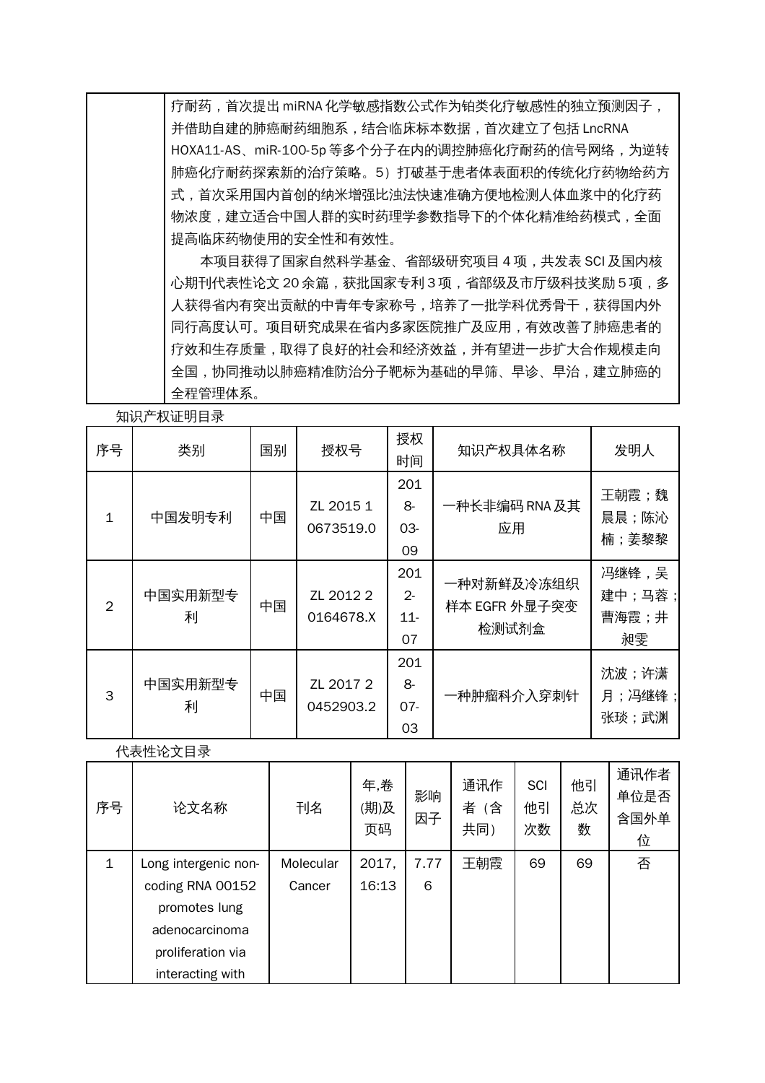疗耐药,首次提出 miRNA 化学敏感指数公式作为铂类化疗敏感性的独立预测因子, 并借助自建的肺癌耐药细胞系,结合临床标本数据,首次建立了包括 LncRNA HOXA11-AS、miR-100-5p 等多个分子在内的调控肺癌化疗耐药的信号网络,为逆转 肺癌化疗耐药探索新的治疗策略。5)打破基于患者体表面积的传统化疗药物给药方 式,首次采用国内首创的纳米增强比浊法快速准确方便地检测人体血浆中的化疗药 物浓度,建立适合中国人群的实时药理学参数指导下的个体化精准给药模式,全面 提高临床药物使用的安全性和有效性。

 本项目获得了国家自然科学基金、省部级研究项目 4 项,共发表 SCI 及国内核 心期刊代表性论文 20 余篇,获批国家专利 3 项,省部级及市厅级科技奖励 5 项,多 人获得省内有突出贡献的中青年专家称号,培养了一批学科优秀骨干,获得国内外 同行高度认可。项目研究成果在省内多家医院推广及应用,有效改善了肺癌患者的 疗效和生存质量,取得了良好的社会和经济效益,并有望进一步扩大合作规模走向 全国,协同推动以肺癌精准防治分子靶标为基础的早筛、早诊、早治,建立肺癌的 全程管理体系。

知识产权证明目录

| ハロンソ           | ゚ヷ゚ヸゕゕ       |    |                        |                                      |                                      |                                |
|----------------|--------------|----|------------------------|--------------------------------------|--------------------------------------|--------------------------------|
| 序号             | 类别           | 国别 | 授权号                    | 授权<br>时间                             | 知识产权具体名称                             | 发明人                            |
| $\mathbf{1}$   | 中国发明专利       | 中国 | ZL 2015 1<br>0673519.0 | 201<br>8-<br>$03-$<br>09             | 一种长非编码 RNA 及其<br>应用                  | 王朝霞;魏<br>晨晨;陈沁<br>楠;姜黎黎        |
| $\overline{2}$ | 中国实用新型专<br>利 | 中国 | ZL 2012 2<br>0164678.X | 201<br>$\mathcal{P}$<br>$11 -$<br>07 | 一种对新鲜及冷冻组织<br>样本 EGFR 外显子突变<br>检测试剂盒 | 冯继锋,吴<br>建中;马蓉;<br>曹海霞;井<br>昶雯 |
| 3              | 中国实用新型专<br>利 | 中国 | ZL 2017 2<br>0452903.2 | 201<br>8-<br>$07 -$<br>03            | 一种肿瘤科介入穿刺针                           | 沈波;许潇<br>月;冯继锋;<br>张琰;武渊       |

代表性论文目录

| 序号           | 论文名称                 | 刊名        | 年,卷<br>(期)及<br>页码 | 影响<br>因子 | 通讯作<br>者<br>(含<br>共同) | <b>SCI</b><br>他引<br>次数 | 他引<br>总次<br>数 | 通讯作者<br>单位是否<br>含国外单<br>位 |
|--------------|----------------------|-----------|-------------------|----------|-----------------------|------------------------|---------------|---------------------------|
| $\mathbf{1}$ | Long intergenic non- | Molecular | 2017,             | 7.77     | 王朝霞                   | 69                     | 69            | 否                         |
|              | coding RNA 00152     | Cancer    | 16:13             | 6        |                       |                        |               |                           |
|              | promotes lung        |           |                   |          |                       |                        |               |                           |
|              | adenocarcinoma       |           |                   |          |                       |                        |               |                           |
|              | proliferation via    |           |                   |          |                       |                        |               |                           |
|              | interacting with     |           |                   |          |                       |                        |               |                           |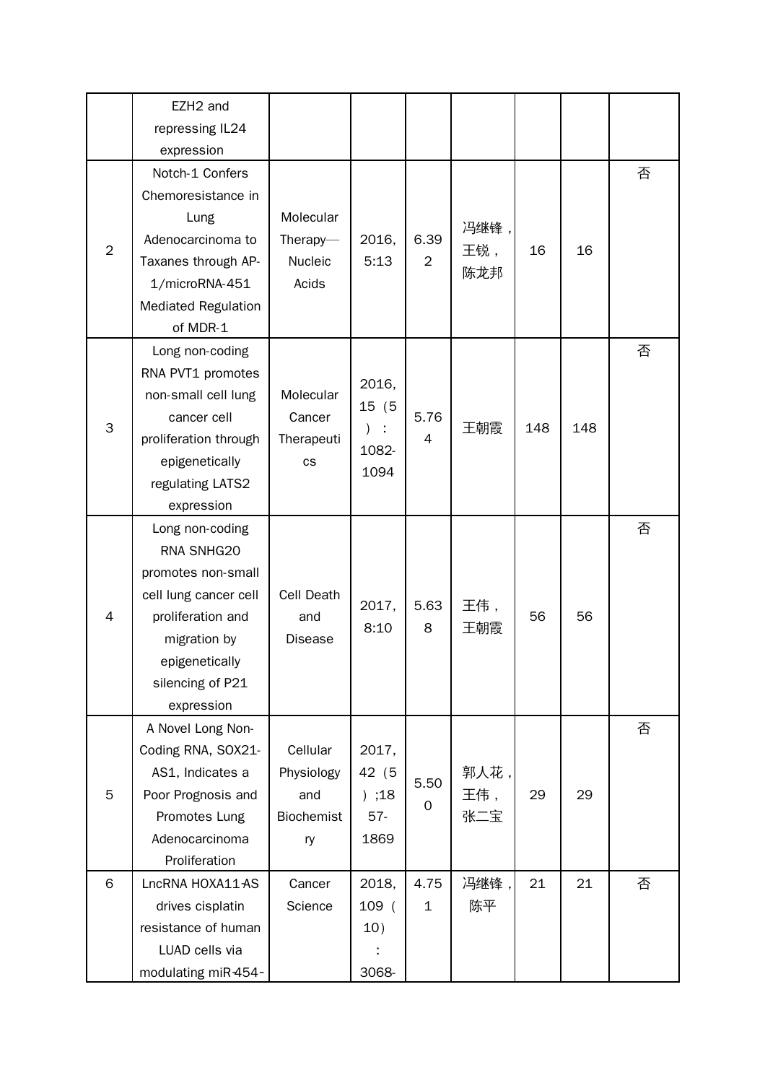|                | EZH2 and                        |                |                |                |      |     |     |   |
|----------------|---------------------------------|----------------|----------------|----------------|------|-----|-----|---|
|                | repressing IL24                 |                |                |                |      |     |     |   |
|                | expression                      |                |                |                |      |     |     |   |
|                | Notch-1 Confers                 |                |                |                |      |     |     | 否 |
|                | Chemoresistance in              |                |                |                |      |     |     |   |
|                | Lung                            | Molecular      |                |                | 冯继锋, |     |     |   |
| $\overline{2}$ | Adenocarcinoma to               | Therapy- $-$   | 2016,          | 6.39           | 王锐,  | 16  | 16  |   |
|                | Taxanes through AP-             | Nucleic        | 5:13           | $\overline{2}$ | 陈龙邦  |     |     |   |
|                | 1/microRNA-451                  | Acids          |                |                |      |     |     |   |
|                | <b>Mediated Regulation</b>      |                |                |                |      |     |     |   |
|                | of MDR-1                        |                |                |                |      |     |     |   |
|                | Long non-coding                 |                |                |                |      |     |     | 否 |
|                | RNA PVT1 promotes               |                | 2016,          |                |      |     |     |   |
|                | non-small cell lung             | Molecular      | 15 (5          |                |      |     |     |   |
| 3              | cancer cell                     | Cancer         | $\lambda$<br>÷ | 5.76           | 王朝霞  | 148 | 148 |   |
|                | proliferation through           | Therapeuti     | 1082-          | 4              |      |     |     |   |
|                | epigenetically                  | <b>CS</b>      | 1094           |                |      |     |     |   |
|                | regulating LATS2                |                |                |                |      |     |     |   |
|                | expression                      |                |                |                |      |     |     |   |
|                | Long non-coding                 |                |                |                |      |     |     | 否 |
|                | RNA SNHG20                      |                |                |                |      |     |     |   |
|                | promotes non-small              |                |                |                |      |     |     |   |
|                | cell lung cancer cell           | Cell Death     | 2017,          | 5.63           | 王伟,  |     |     |   |
| 4              | proliferation and               | and            | 8:10           | 8              | 王朝霞  | 56  | 56  |   |
|                | migration by                    | <b>Disease</b> |                |                |      |     |     |   |
|                | epigenetically                  |                |                |                |      |     |     |   |
|                | silencing of P21                |                |                |                |      |     |     |   |
|                | expression<br>A Novel Long Non- |                |                |                |      |     |     | 否 |
|                | Coding RNA, SOX21-              | Cellular       | 2017,          |                |      |     |     |   |
|                | AS1, Indicates a                | Physiology     | 42 (5          |                | 郭人花, |     |     |   |
| 5              | Poor Prognosis and              | and            | ) ; 18         | 5.50           | 王伟,  | 29  | 29  |   |
|                | Promotes Lung                   | Biochemist     | $57-$          | $\mathbf 0$    | 张二宝  |     |     |   |
|                | Adenocarcinoma                  | ry             | 1869           |                |      |     |     |   |
|                | Proliferation                   |                |                |                |      |     |     |   |
| 6              | LncRNA HOXA11AS                 | Cancer         | 2018,          | 4.75           | 冯继锋, | 21  | 21  | 否 |
|                | drives cisplatin                | Science        | 109 (          | $\mathbf{1}$   | 陈平   |     |     |   |
|                | resistance of human             |                | 10)            |                |      |     |     |   |
|                | LUAD cells via                  |                |                |                |      |     |     |   |
|                | modulating miR-454-             |                | 3068-          |                |      |     |     |   |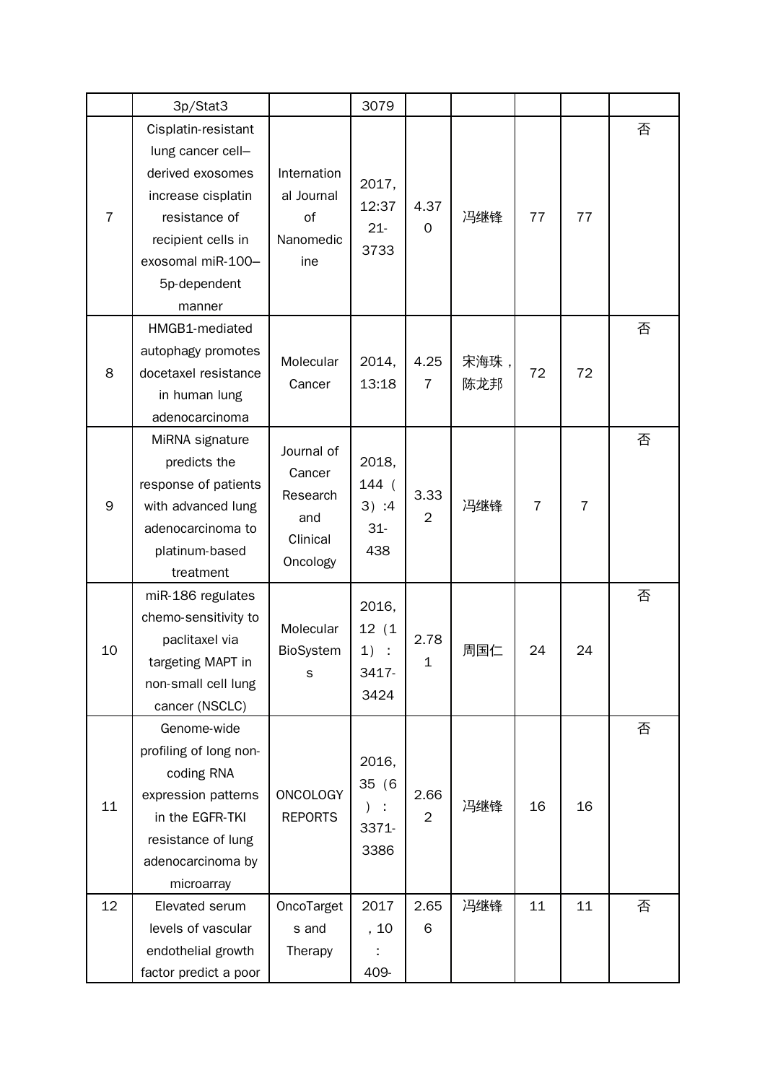|                | 3p/Stat3                             |                        | 3079                               |                        |      |                |                |   |
|----------------|--------------------------------------|------------------------|------------------------------------|------------------------|------|----------------|----------------|---|
|                | Cisplatin-resistant                  |                        |                                    |                        |      |                |                | 否 |
|                | lung cancer cell-                    |                        |                                    |                        |      |                |                |   |
|                | derived exosomes                     | Internation            |                                    |                        |      |                |                |   |
|                | increase cisplatin                   | al Journal             | 2017,<br>12:37                     | 4.37                   |      |                |                |   |
| $\overline{7}$ | resistance of                        | of                     | $21 -$                             | $\overline{O}$         | 冯继锋  | 77             | 77             |   |
|                | recipient cells in                   | Nanomedic              | 3733                               |                        |      |                |                |   |
|                | exosomal miR-100-                    | ine                    |                                    |                        |      |                |                |   |
|                | 5p-dependent                         |                        |                                    |                        |      |                |                |   |
|                | manner                               |                        |                                    |                        |      |                |                |   |
|                | HMGB1-mediated                       |                        |                                    |                        |      |                |                | 否 |
|                | autophagy promotes                   | Molecular              | 2014,                              | 4.25                   | 宋海珠, |                |                |   |
| 8              | docetaxel resistance                 | Cancer                 | 13:18                              | $\overline{7}$         | 陈龙邦  | 72             | 72             |   |
|                | in human lung                        |                        |                                    |                        |      |                |                |   |
|                | adenocarcinoma                       |                        |                                    |                        |      |                |                |   |
|                | MiRNA signature                      | Journal of             |                                    |                        |      |                |                | 否 |
|                | predicts the                         | Cancer<br>Research     | 2018,<br>144 (<br>3) : 4<br>$31 -$ | 3.33<br>$\overline{2}$ | 冯继锋  | $\overline{7}$ | $\overline{7}$ |   |
|                | response of patients                 |                        |                                    |                        |      |                |                |   |
| 9              | with advanced lung                   | and                    |                                    |                        |      |                |                |   |
|                | adenocarcinoma to                    | Clinical               |                                    |                        |      |                |                |   |
|                | platinum-based                       | Oncology               | 438                                |                        |      |                |                |   |
|                | treatment                            |                        |                                    |                        |      |                |                |   |
|                | miR-186 regulates                    |                        | 2016,                              |                        |      |                |                | 否 |
|                | chemo-sensitivity to                 | Molecular<br>BioSystem | 12(1)<br>1)                        |                        |      | 24             | 24             |   |
| 10             | paclitaxel via                       |                        |                                    | 2.78                   | 周国仁  |                |                |   |
|                | targeting MAPT in                    | s                      | 3417-                              | $\mathbf 1$            |      |                |                |   |
|                | non-small cell lung                  |                        | 3424                               |                        |      |                |                |   |
|                | cancer (NSCLC)                       |                        |                                    |                        |      |                |                |   |
|                | Genome-wide                          |                        |                                    |                        |      |                |                | 否 |
|                | profiling of long non-<br>coding RNA |                        | 2016,                              |                        |      |                |                |   |
|                | expression patterns                  | <b>ONCOLOGY</b>        | 35 (6                              | 2.66                   |      |                |                |   |
| 11             | in the EGFR-TKI                      | <b>REPORTS</b>         |                                    | $\overline{2}$         | 冯继锋  | 16             | 16             |   |
|                | resistance of lung                   |                        | 3371-                              |                        |      |                |                |   |
|                | adenocarcinoma by                    |                        | 3386                               |                        |      |                |                |   |
|                | microarray                           |                        |                                    |                        |      |                |                |   |
| 12             | Elevated serum                       | OncoTarget             | 2017                               | 2.65                   | 冯继锋  | 11             | 11             | 否 |
|                | levels of vascular                   | s and                  | , 10                               | 6                      |      |                |                |   |
|                | endothelial growth                   | Therapy                |                                    |                        |      |                |                |   |
|                | factor predict a poor                |                        | 409-                               |                        |      |                |                |   |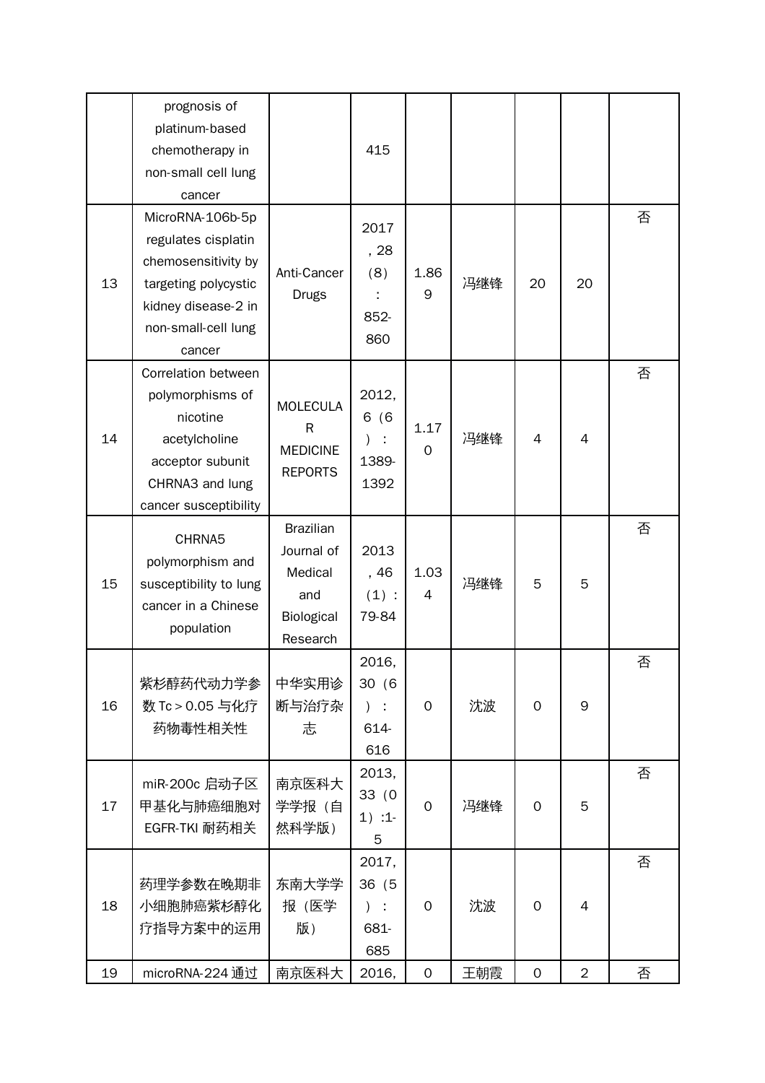| MicroRNA-106b-5p<br>2017<br>regulates cisplatin<br>, 28<br>chemosensitivity by<br>Anti-Cancer<br>(8)<br>1.86<br>13<br>冯继锋<br>20<br>targeting polycystic<br>20<br>9<br><b>Drugs</b><br>kidney disease-2 in                                                                                                 |        |
|-----------------------------------------------------------------------------------------------------------------------------------------------------------------------------------------------------------------------------------------------------------------------------------------------------------|--------|
| 852-<br>non-small-cell lung<br>860<br>cancer                                                                                                                                                                                                                                                              | 否      |
| Correlation between<br>2012,<br>polymorphisms of<br><b>MOLECULA</b><br>nicotine<br>6(6)<br>$\mathsf{R}$<br>1.17<br>冯继锋<br>14<br>4<br>acetylcholine<br>$\overline{4}$<br><b>MEDICINE</b><br>$\mathbf 0$<br>acceptor subunit<br>1389-<br><b>REPORTS</b><br>CHRNA3 and lung<br>1392<br>cancer susceptibility | 否      |
| <b>Brazilian</b><br>CHRNA5<br>2013<br>Journal of<br>polymorphism and<br>1.03<br>Medical<br>, 46<br>15<br>冯继锋<br>5<br>5<br>susceptibility to lung<br>(1):<br>4<br>and<br>cancer in a Chinese<br>Biological<br>79-84<br>population<br>Research                                                              | 否      |
| 2016,<br>紫杉醇药代动力学参<br>中华实用诊<br>30(6)<br>数 Tc > 0.05 与化疗<br>断与治疗杂<br>沈波<br>16<br>9<br>$\mathbf 0$<br>$\mathbf 0$<br>$\pm$<br>$\left( \right)$<br>志<br>药物毒性相关性<br>614-<br>616                                                                                                                               | 否      |
| 2013,<br>南京医科大<br>miR-200c 启动子区<br>33(0)<br>学学报 (自<br>17<br>甲基化与肺癌细胞对<br>$\mathbf 0$<br>冯继锋<br>5<br>$\mathbf 0$<br>$1)$ :1-<br>EGFR-TKI 耐药相关<br>然科学版)<br>5                                                                                                                                                | 否      |
| 2017,<br>东南大学学<br>36 (5<br>药理学参数在晚期非<br>报 (医学<br>沈波<br>18<br>小细胞肺癌紫杉醇化<br>$)$ :<br>$\mathbf 0$<br>$\mathbf 0$<br>$\overline{4}$<br>疗指导方案中的运用<br>版)<br>681-<br>685<br>19<br>$\overline{2}$<br>南京医科大<br>$\mathbf{O}$<br>王朝霞<br>$\mathsf{O}\xspace$<br>microRNA-224 通过<br>2016,                              | 否<br>否 |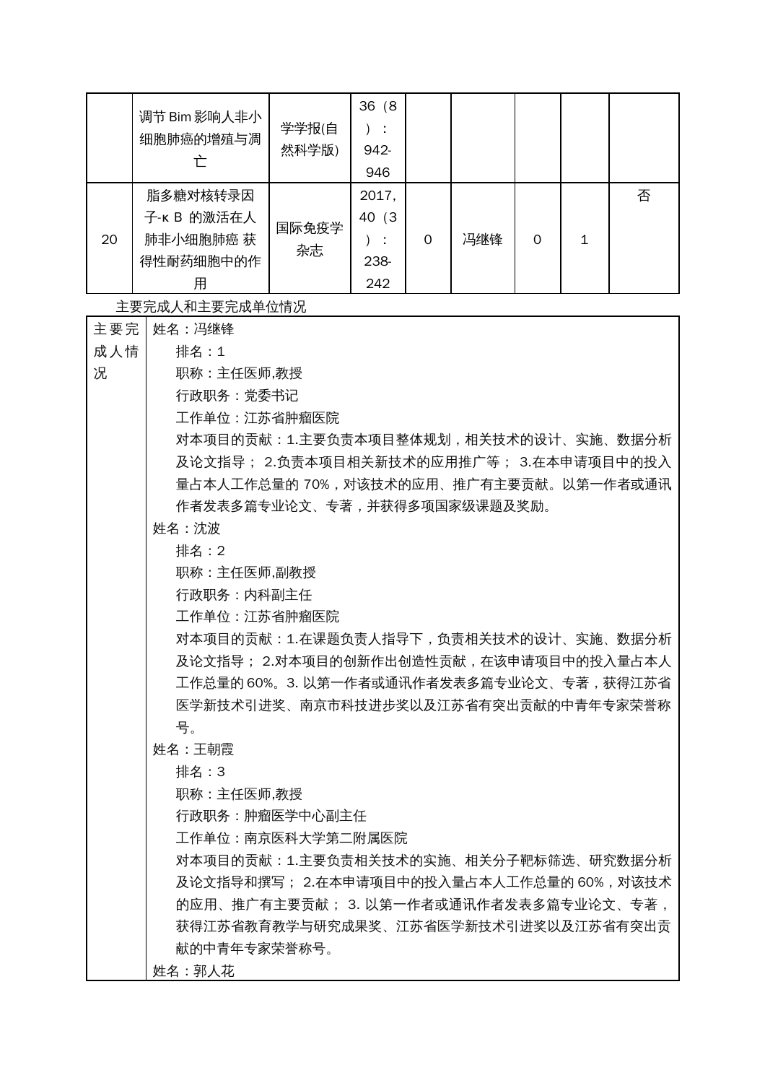|    | 调节 Bim 影响人非小<br>细胞肺癌的增殖与凋                              | 学学报(自<br>然科学版) | 36(8)<br>÷<br>942-<br>946     |   |     |          |   |
|----|--------------------------------------------------------|----------------|-------------------------------|---|-----|----------|---|
| 20 | 脂多糖对核转录因<br>子-K B 的激活在人<br>肺非小细胞肺癌 获<br>得性耐药细胞中的作<br>用 | 国际免疫学<br>杂志    | 2017,<br>40 (3<br>238-<br>242 | O | 冯继锋 | $\Omega$ | 否 |

主要完成人和主要完成单位情况

| 主要完 | 姓名:冯继锋                                   |
|-----|------------------------------------------|
| 成人情 | 排名:1                                     |
| 况   | 职称:主任医师,教授                               |
|     | 行政职务: 党委书记                               |
|     | 工作单位:江苏省肿瘤医院                             |
|     | 对本项目的贡献:1.主要负责本项目整体规划,相关技术的设计、实施、数据分析    |
|     | 及论文指导; 2.负责本项目相关新技术的应用推广等; 3.在本申请项目中的投入  |
|     | 量占本人工作总量的 70%,对该技术的应用、推广有主要贡献。以第一作者或通讯   |
|     | 作者发表多篇专业论文、专著,并获得多项国家级课题及奖励。             |
|     | 姓名:沈波                                    |
|     | 排名: 2                                    |
|     | 职称:主任医师,副教授                              |
|     | 行政职务:内科副主任                               |
|     | 工作单位:江苏省肿瘤医院                             |
|     | 对本项目的贡献: 1.在课题负责人指导下, 负责相关技术的设计、实施、数据分析  |
|     | 及论文指导; 2.对本项目的创新作出创造性贡献,在该申请项目中的投入量占本人   |
|     | 工作总量的 60%。3. 以第一作者或通讯作者发表多篇专业论文、专著,获得江苏省 |
|     | 医学新技术引进奖、南京市科技进步奖以及江苏省有突出贡献的中青年专家荣誉称     |
|     | 묵。                                       |
|     | 姓名:王朝霞                                   |
|     | 排名:3                                     |
|     | 职称:主任医师,教授                               |
|     | 行政职务:肿瘤医学中心副主任                           |
|     | 工作单位:南京医科大学第二附属医院                        |
|     | 对本项目的贡献:1.主要负责相关技术的实施、相关分子靶标筛选、研究数据分析    |
|     | 及论文指导和撰写; 2.在本申请项目中的投入量占本人工作总量的 60%,对该技术 |
|     | 的应用、推广有主要贡献; 3. 以第一作者或通讯作者发表多篇专业论文、专著,   |
|     | 获得江苏省教育教学与研究成果奖、江苏省医学新技术引进奖以及江苏省有突出贡     |
|     | 献的中青年专家荣誉称号。                             |
|     | 姓名:郭人花                                   |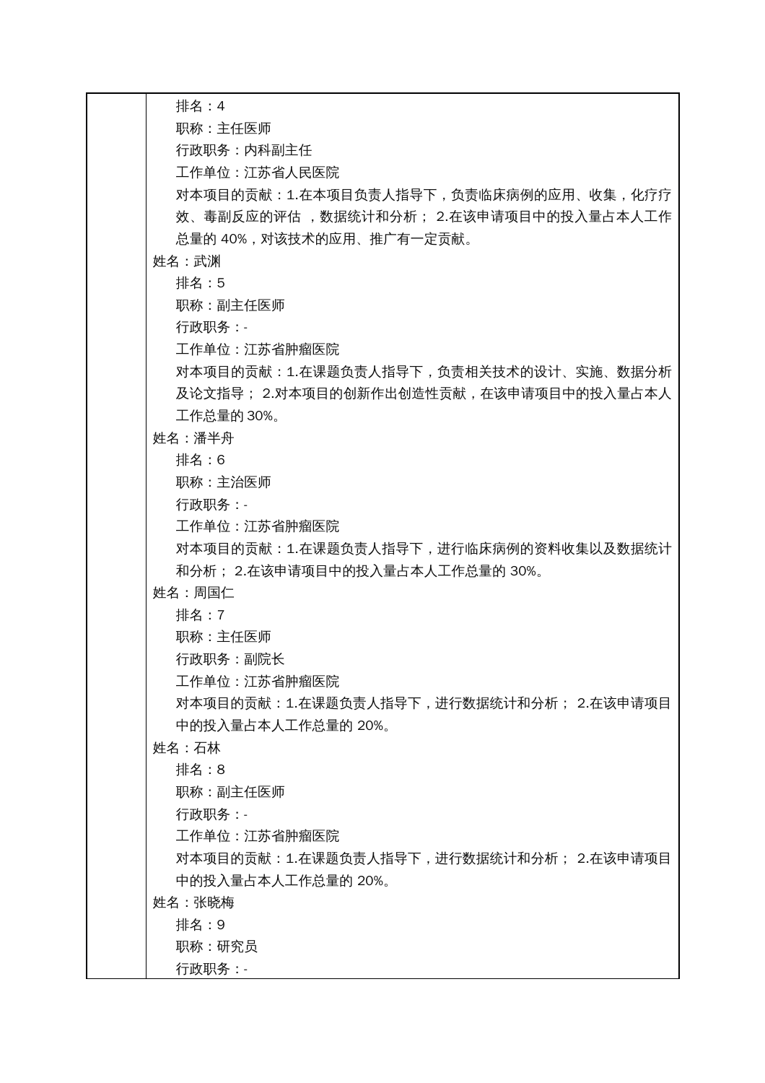排名:4 职称:主任医师 行政职务:内科副主任 工作单位:江苏省人民医院 对本项目的贡献:1.在本项目负责人指导下,负责临床病例的应用、收集,化疗疗 效、毒副反应的评估 , 数据统计和分析; 2.在该申请项目中的投入量占本人工作 总量的 40%,对该技术的应用、推广有一定贡献。 姓名:武渊 排名:5 职称:副主任医师 行政职务:- 工作单位:江苏省肿瘤医院 对本项目的贡献:1.在课题负责人指导下,负责相关技术的设计、实施、数据分析 及论文指导; 2.对本项目的创新作出创造性贡献,在该申请项目中的投入量占本人 工作总量的 30%。 姓名:潘半舟 排名:6 职称:主治医师 行政职务:- 工作单位:江苏省肿瘤医院 对本项目的贡献:1.在课题负责人指导下,进行临床病例的资料收集以及数据统计 和分析; 2.在该申请项目中的投入量占本人工作总量的 30%。 姓名:周国仁 排名:7 职称:主任医师 行政职务:副院长 工作单位:江苏省肿瘤医院 对本项目的贡献:1.在课题负责人指导下,进行数据统计和分析; 2.在该申请项目 中的投入量占本人工作总量的 20%。 姓名:石林 排名:8 职称:副主任医师 行政职务:- 工作单位:江苏省肿瘤医院 对本项目的贡献:1.在课题负责人指导下,进行数据统计和分析; 2.在该申请项目 中的投入量占本人工作总量的 20%。 姓名:张晓梅 排名:9 职称:研究员 行政职务:-